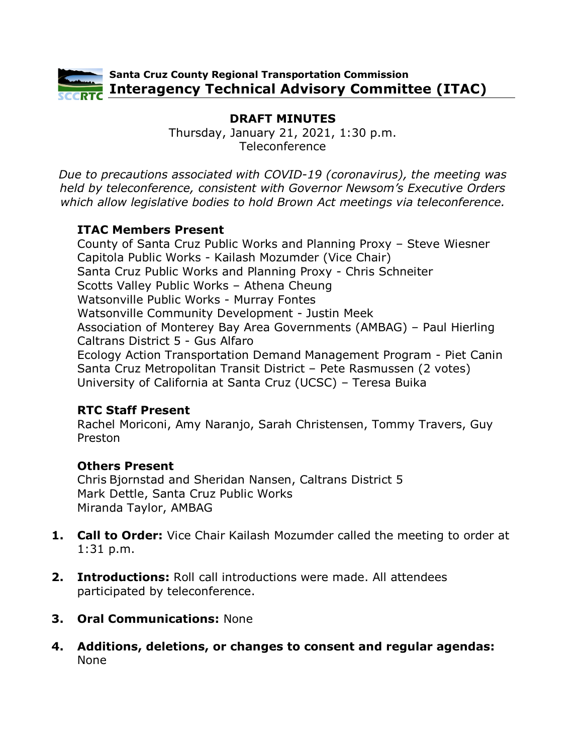

# **DRAFT MINUTES**

Thursday, January 21, 2021, 1:30 p.m. Teleconference

*Due to precautions associated with COVID-19 (coronavirus), the meeting was held by teleconference, consistent with Governor Newsom's Executive Orders which allow legislative bodies to hold Brown Act meetings via teleconference.*

# **ITAC Members Present**

County of Santa Cruz Public Works and Planning Proxy – Steve Wiesner Capitola Public Works - Kailash Mozumder (Vice Chair) Santa Cruz Public Works and Planning Proxy - Chris Schneiter Scotts Valley Public Works – Athena Cheung Watsonville Public Works - Murray Fontes Watsonville Community Development - Justin Meek Association of Monterey Bay Area Governments (AMBAG) – Paul Hierling Caltrans District 5 - Gus Alfaro Ecology Action Transportation Demand Management Program - Piet Canin Santa Cruz Metropolitan Transit District – Pete Rasmussen (2 votes) University of California at Santa Cruz (UCSC) – Teresa Buika

# **RTC Staff Present**

Rachel Moriconi, Amy Naranjo, Sarah Christensen, Tommy Travers, Guy Preston

# **Others Present**

Chris Bjornstad and Sheridan Nansen, Caltrans District 5 Mark Dettle, Santa Cruz Public Works Miranda Taylor, AMBAG

- **1. Call to Order:** Vice Chair Kailash Mozumder called the meeting to order at 1:31 p.m.
- **2. Introductions:** Roll call introductions were made. All attendees participated by teleconference.
- **3. Oral Communications:** None
- **4. Additions, deletions, or changes to consent and regular agendas:** None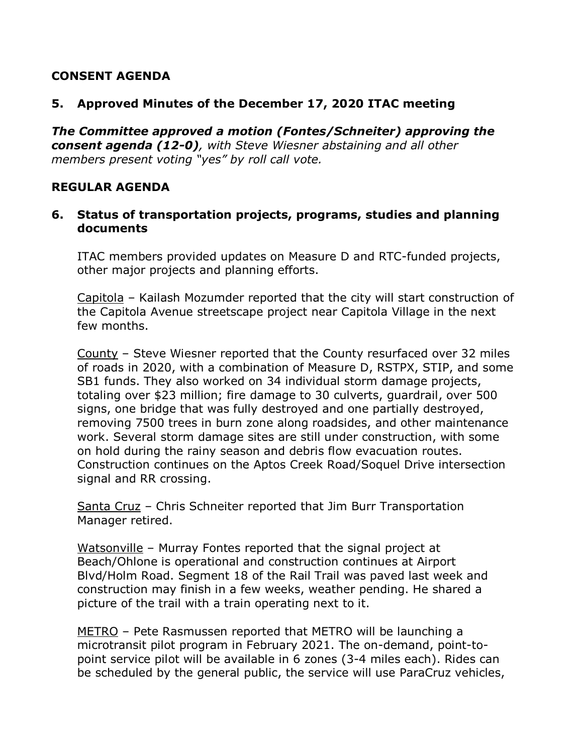## **CONSENT AGENDA**

## **5. Approved Minutes of the December 17, 2020 ITAC meeting**

*The Committee approved a motion (Fontes/Schneiter) approving the consent agenda (12-0), with Steve Wiesner abstaining and all other members present voting "yes" by roll call vote.* 

## **REGULAR AGENDA**

#### **6. Status of transportation projects, programs, studies and planning documents**

ITAC members provided updates on Measure D and RTC-funded projects, other major projects and planning efforts.

Capitola – Kailash Mozumder reported that the city will start construction of the Capitola Avenue streetscape project near Capitola Village in the next few months.

County – Steve Wiesner reported that the County resurfaced over 32 miles of roads in 2020, with a combination of Measure D, RSTPX, STIP, and some SB1 funds. They also worked on 34 individual storm damage projects, totaling over \$23 million; fire damage to 30 culverts, guardrail, over 500 signs, one bridge that was fully destroyed and one partially destroyed, removing 7500 trees in burn zone along roadsides, and other maintenance work. Several storm damage sites are still under construction, with some on hold during the rainy season and debris flow evacuation routes. Construction continues on the Aptos Creek Road/Soquel Drive intersection signal and RR crossing.

Santa Cruz – Chris Schneiter reported that Jim Burr Transportation Manager retired.

Watsonville – Murray Fontes reported that the signal project at Beach/Ohlone is operational and construction continues at Airport Blvd/Holm Road. Segment 18 of the Rail Trail was paved last week and construction may finish in a few weeks, weather pending. He shared a picture of the trail with a train operating next to it.

METRO – Pete Rasmussen reported that METRO will be launching a microtransit pilot program in February 2021. The on-demand, point-topoint service pilot will be available in 6 zones (3-4 miles each). Rides can be scheduled by the general public, the service will use ParaCruz vehicles,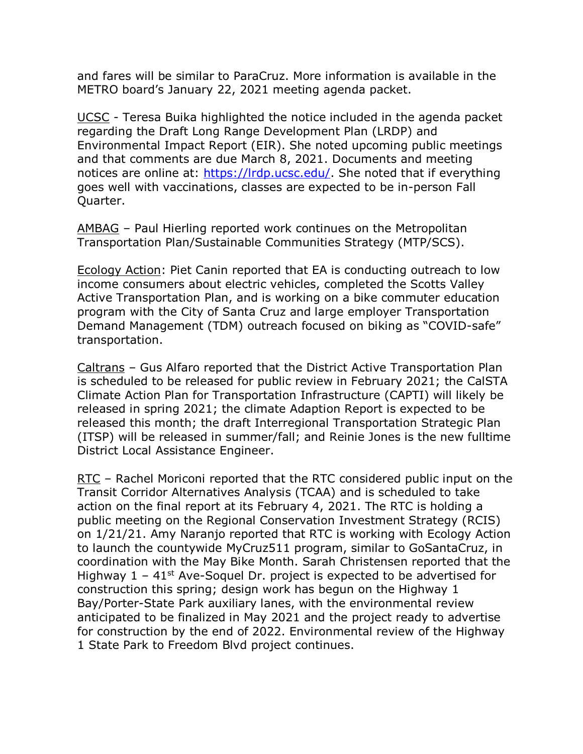and fares will be similar to ParaCruz. More information is available in the METRO board's January 22, 2021 meeting agenda packet.

UCSC - Teresa Buika highlighted the notice included in the agenda packet regarding the Draft Long Range Development Plan (LRDP) and Environmental Impact Report (EIR). She noted upcoming public meetings and that comments are due March 8, 2021. Documents and meeting notices are online at: [https://lrdp.ucsc.edu/.](https://lrdp.ucsc.edu/) She noted that if everything goes well with vaccinations, classes are expected to be in-person Fall Quarter.

AMBAG – Paul Hierling reported work continues on the Metropolitan Transportation Plan/Sustainable Communities Strategy (MTP/SCS).

Ecology Action: Piet Canin reported that EA is conducting outreach to low income consumers about electric vehicles, completed the Scotts Valley Active Transportation Plan, and is working on a bike commuter education program with the City of Santa Cruz and large employer Transportation Demand Management (TDM) outreach focused on biking as "COVID-safe" transportation.

Caltrans – Gus Alfaro reported that the District Active Transportation Plan is scheduled to be released for public review in February 2021; the CalSTA Climate Action Plan for Transportation Infrastructure (CAPTI) will likely be released in spring 2021; the climate Adaption Report is expected to be released this month; the draft Interregional Transportation Strategic Plan (ITSP) will be released in summer/fall; and Reinie Jones is the new fulltime District Local Assistance Engineer.

RTC – Rachel Moriconi reported that the RTC considered public input on the Transit Corridor Alternatives Analysis (TCAA) and is scheduled to take action on the final report at its February 4, 2021. The RTC is holding a public meeting on the Regional Conservation Investment Strategy (RCIS) on 1/21/21. Amy Naranjo reported that RTC is working with Ecology Action to launch the countywide MyCruz511 program, similar to GoSantaCruz, in coordination with the May Bike Month. Sarah Christensen reported that the Highway  $1 - 41$ <sup>st</sup> Ave-Soquel Dr. project is expected to be advertised for construction this spring; design work has begun on the Highway 1 Bay/Porter-State Park auxiliary lanes, with the environmental review anticipated to be finalized in May 2021 and the project ready to advertise for construction by the end of 2022. Environmental review of the Highway 1 State Park to Freedom Blvd project continues.